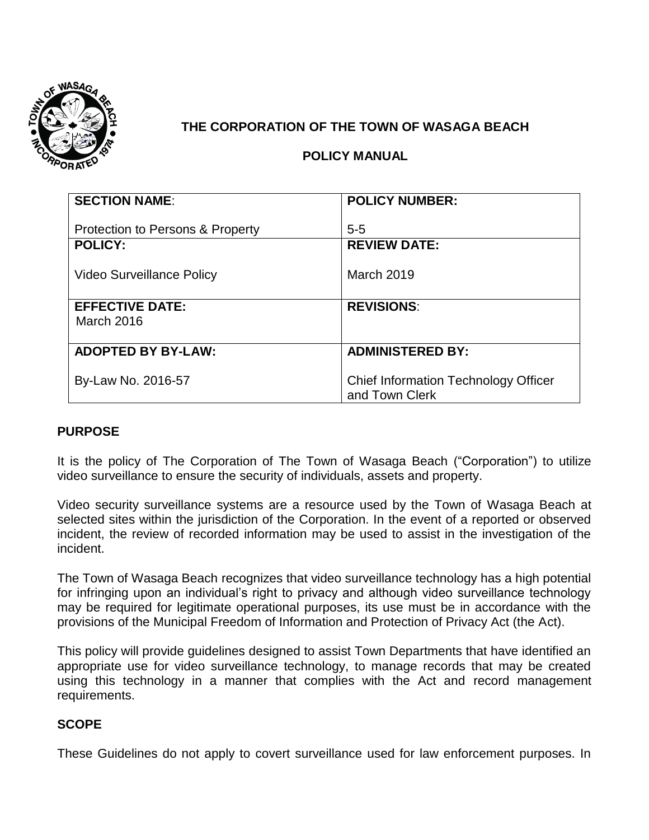

# **THE CORPORATION OF THE TOWN OF WASAGA BEACH**

## **POLICY MANUAL**

| <b>SECTION NAME:</b>             | <b>POLICY NUMBER:</b>                |
|----------------------------------|--------------------------------------|
|                                  |                                      |
| Protection to Persons & Property | $5 - 5$                              |
| <b>POLICY:</b>                   | <b>REVIEW DATE:</b>                  |
|                                  |                                      |
| <b>Video Surveillance Policy</b> | March 2019                           |
|                                  |                                      |
| <b>EFFECTIVE DATE:</b>           | <b>REVISIONS:</b>                    |
| March 2016                       |                                      |
|                                  |                                      |
| <b>ADOPTED BY BY-LAW:</b>        | <b>ADMINISTERED BY:</b>              |
|                                  |                                      |
| By-Law No. 2016-57               | Chief Information Technology Officer |
|                                  | and Town Clerk                       |

### **PURPOSE**

It is the policy of The Corporation of The Town of Wasaga Beach ("Corporation") to utilize video surveillance to ensure the security of individuals, assets and property.

Video security surveillance systems are a resource used by the Town of Wasaga Beach at selected sites within the jurisdiction of the Corporation. In the event of a reported or observed incident, the review of recorded information may be used to assist in the investigation of the incident.

The Town of Wasaga Beach recognizes that video surveillance technology has a high potential for infringing upon an individual's right to privacy and although video surveillance technology may be required for legitimate operational purposes, its use must be in accordance with the provisions of the Municipal Freedom of Information and Protection of Privacy Act (the Act).

This policy will provide guidelines designed to assist Town Departments that have identified an appropriate use for video surveillance technology, to manage records that may be created using this technology in a manner that complies with the Act and record management requirements.

### **SCOPE**

These Guidelines do not apply to covert surveillance used for law enforcement purposes. In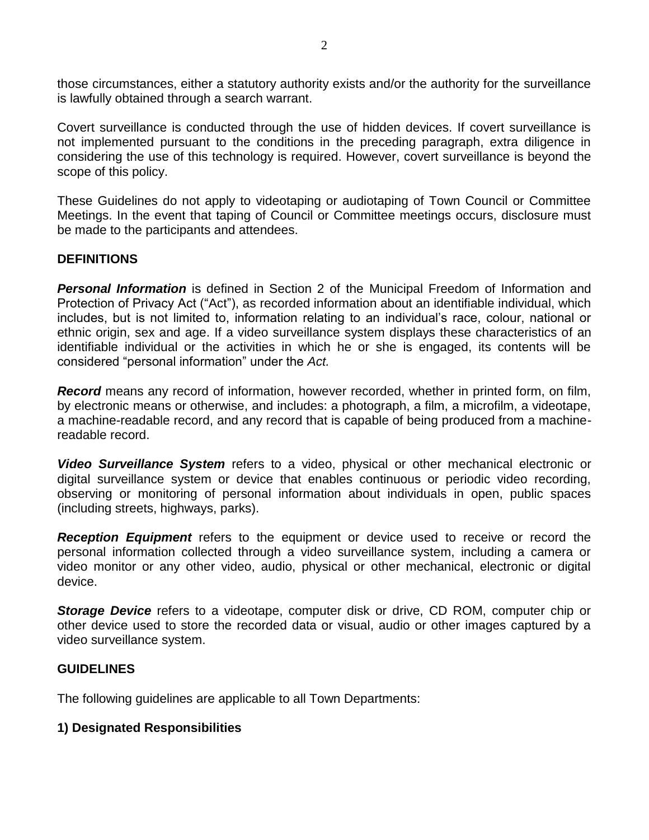those circumstances, either a statutory authority exists and/or the authority for the surveillance is lawfully obtained through a search warrant.

Covert surveillance is conducted through the use of hidden devices. If covert surveillance is not implemented pursuant to the conditions in the preceding paragraph, extra diligence in considering the use of this technology is required. However, covert surveillance is beyond the scope of this policy.

These Guidelines do not apply to videotaping or audiotaping of Town Council or Committee Meetings. In the event that taping of Council or Committee meetings occurs, disclosure must be made to the participants and attendees.

### **DEFINITIONS**

*Personal Information* is defined in Section 2 of the Municipal Freedom of Information and Protection of Privacy Act ("Act"), as recorded information about an identifiable individual, which includes, but is not limited to, information relating to an individual's race, colour, national or ethnic origin, sex and age. If a video surveillance system displays these characteristics of an identifiable individual or the activities in which he or she is engaged, its contents will be considered "personal information" under the *Act.* 

*Record* means any record of information, however recorded, whether in printed form, on film, by electronic means or otherwise, and includes: a photograph, a film, a microfilm, a videotape, a machine-readable record, and any record that is capable of being produced from a machinereadable record.

*Video Surveillance System* refers to a video, physical or other mechanical electronic or digital surveillance system or device that enables continuous or periodic video recording, observing or monitoring of personal information about individuals in open, public spaces (including streets, highways, parks).

*Reception Equipment* refers to the equipment or device used to receive or record the personal information collected through a video surveillance system, including a camera or video monitor or any other video, audio, physical or other mechanical, electronic or digital device.

*Storage Device* refers to a videotape, computer disk or drive, CD ROM, computer chip or other device used to store the recorded data or visual, audio or other images captured by a video surveillance system.

### **GUIDELINES**

The following guidelines are applicable to all Town Departments:

### **1) Designated Responsibilities**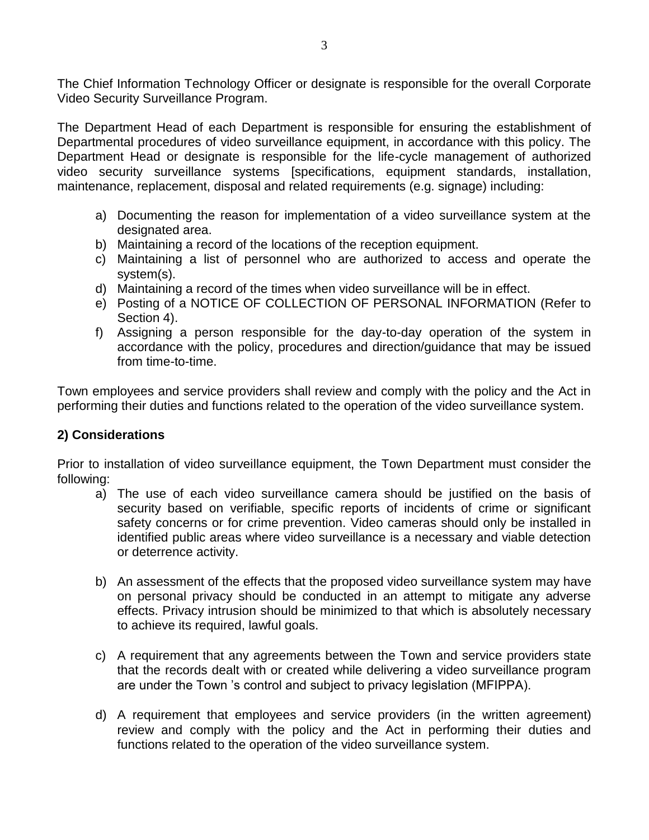The Chief Information Technology Officer or designate is responsible for the overall Corporate Video Security Surveillance Program.

The Department Head of each Department is responsible for ensuring the establishment of Departmental procedures of video surveillance equipment, in accordance with this policy. The Department Head or designate is responsible for the life-cycle management of authorized video security surveillance systems [specifications, equipment standards, installation, maintenance, replacement, disposal and related requirements (e.g. signage) including:

- a) Documenting the reason for implementation of a video surveillance system at the designated area.
- b) Maintaining a record of the locations of the reception equipment.
- c) Maintaining a list of personnel who are authorized to access and operate the system(s).
- d) Maintaining a record of the times when video surveillance will be in effect.
- e) Posting of a NOTICE OF COLLECTION OF PERSONAL INFORMATION (Refer to Section 4).
- f) Assigning a person responsible for the day-to-day operation of the system in accordance with the policy, procedures and direction/guidance that may be issued from time-to-time.

Town employees and service providers shall review and comply with the policy and the Act in performing their duties and functions related to the operation of the video surveillance system.

## **2) Considerations**

Prior to installation of video surveillance equipment, the Town Department must consider the following:

- a) The use of each video surveillance camera should be justified on the basis of security based on verifiable, specific reports of incidents of crime or significant safety concerns or for crime prevention. Video cameras should only be installed in identified public areas where video surveillance is a necessary and viable detection or deterrence activity.
- b) An assessment of the effects that the proposed video surveillance system may have on personal privacy should be conducted in an attempt to mitigate any adverse effects. Privacy intrusion should be minimized to that which is absolutely necessary to achieve its required, lawful goals.
- c) A requirement that any agreements between the Town and service providers state that the records dealt with or created while delivering a video surveillance program are under the Town 's control and subject to privacy legislation (MFIPPA).
- d) A requirement that employees and service providers (in the written agreement) review and comply with the policy and the Act in performing their duties and functions related to the operation of the video surveillance system.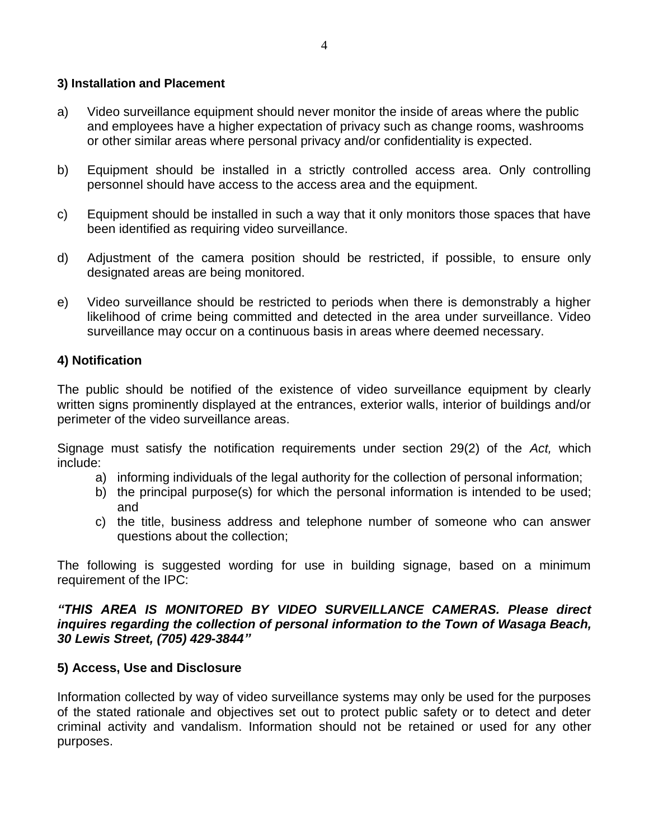### **3) Installation and Placement**

- a) Video surveillance equipment should never monitor the inside of areas where the public and employees have a higher expectation of privacy such as change rooms, washrooms or other similar areas where personal privacy and/or confidentiality is expected.
- b) Equipment should be installed in a strictly controlled access area. Only controlling personnel should have access to the access area and the equipment.
- c) Equipment should be installed in such a way that it only monitors those spaces that have been identified as requiring video surveillance.
- d) Adjustment of the camera position should be restricted, if possible, to ensure only designated areas are being monitored.
- e) Video surveillance should be restricted to periods when there is demonstrably a higher likelihood of crime being committed and detected in the area under surveillance. Video surveillance may occur on a continuous basis in areas where deemed necessary.

## **4) Notification**

The public should be notified of the existence of video surveillance equipment by clearly written signs prominently displayed at the entrances, exterior walls, interior of buildings and/or perimeter of the video surveillance areas.

Signage must satisfy the notification requirements under section 29(2) of the *Act,* which include:

- a) informing individuals of the legal authority for the collection of personal information;
- b) the principal purpose(s) for which the personal information is intended to be used; and
- c) the title, business address and telephone number of someone who can answer questions about the collection;

The following is suggested wording for use in building signage, based on a minimum requirement of the IPC:

#### *"THIS AREA IS MONITORED BY VIDEO SURVEILLANCE CAMERAS. Please direct inquires regarding the collection of personal information to the Town of Wasaga Beach, 30 Lewis Street, (705) 429-3844"*

### **5) Access, Use and Disclosure**

Information collected by way of video surveillance systems may only be used for the purposes of the stated rationale and objectives set out to protect public safety or to detect and deter criminal activity and vandalism. Information should not be retained or used for any other purposes.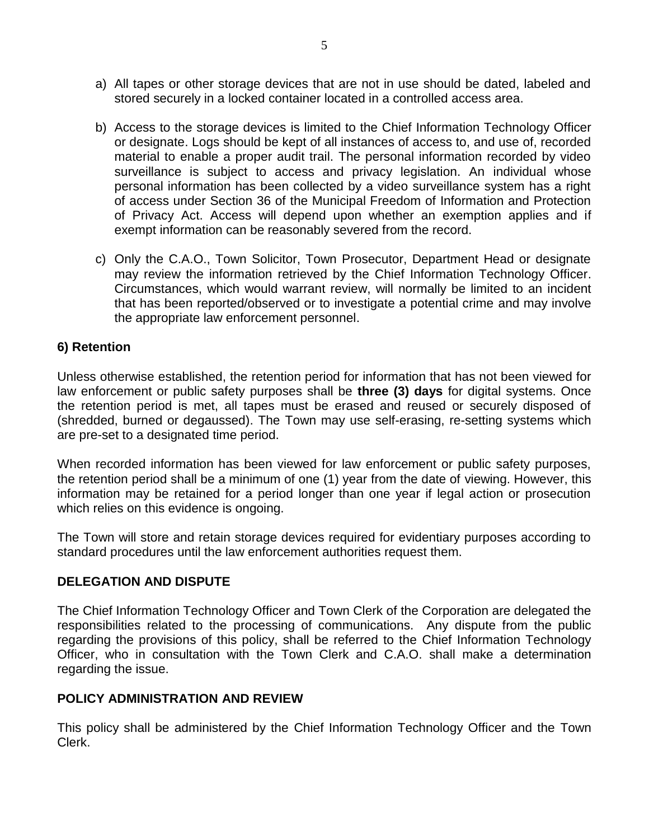- a) All tapes or other storage devices that are not in use should be dated, labeled and stored securely in a locked container located in a controlled access area.
- b) Access to the storage devices is limited to the Chief Information Technology Officer or designate. Logs should be kept of all instances of access to, and use of, recorded material to enable a proper audit trail. The personal information recorded by video surveillance is subject to access and privacy legislation. An individual whose personal information has been collected by a video surveillance system has a right of access under Section 36 of the Municipal Freedom of Information and Protection of Privacy Act. Access will depend upon whether an exemption applies and if exempt information can be reasonably severed from the record.
- c) Only the C.A.O., Town Solicitor, Town Prosecutor, Department Head or designate may review the information retrieved by the Chief Information Technology Officer. Circumstances, which would warrant review, will normally be limited to an incident that has been reported/observed or to investigate a potential crime and may involve the appropriate law enforcement personnel.

#### **6) Retention**

Unless otherwise established, the retention period for information that has not been viewed for law enforcement or public safety purposes shall be **three (3) days** for digital systems. Once the retention period is met, all tapes must be erased and reused or securely disposed of (shredded, burned or degaussed). The Town may use self-erasing, re-setting systems which are pre-set to a designated time period.

When recorded information has been viewed for law enforcement or public safety purposes, the retention period shall be a minimum of one (1) year from the date of viewing. However, this information may be retained for a period longer than one year if legal action or prosecution which relies on this evidence is ongoing.

The Town will store and retain storage devices required for evidentiary purposes according to standard procedures until the law enforcement authorities request them.

#### **DELEGATION AND DISPUTE**

The Chief Information Technology Officer and Town Clerk of the Corporation are delegated the responsibilities related to the processing of communications. Any dispute from the public regarding the provisions of this policy, shall be referred to the Chief Information Technology Officer, who in consultation with the Town Clerk and C.A.O. shall make a determination regarding the issue.

### **POLICY ADMINISTRATION AND REVIEW**

This policy shall be administered by the Chief Information Technology Officer and the Town Clerk.